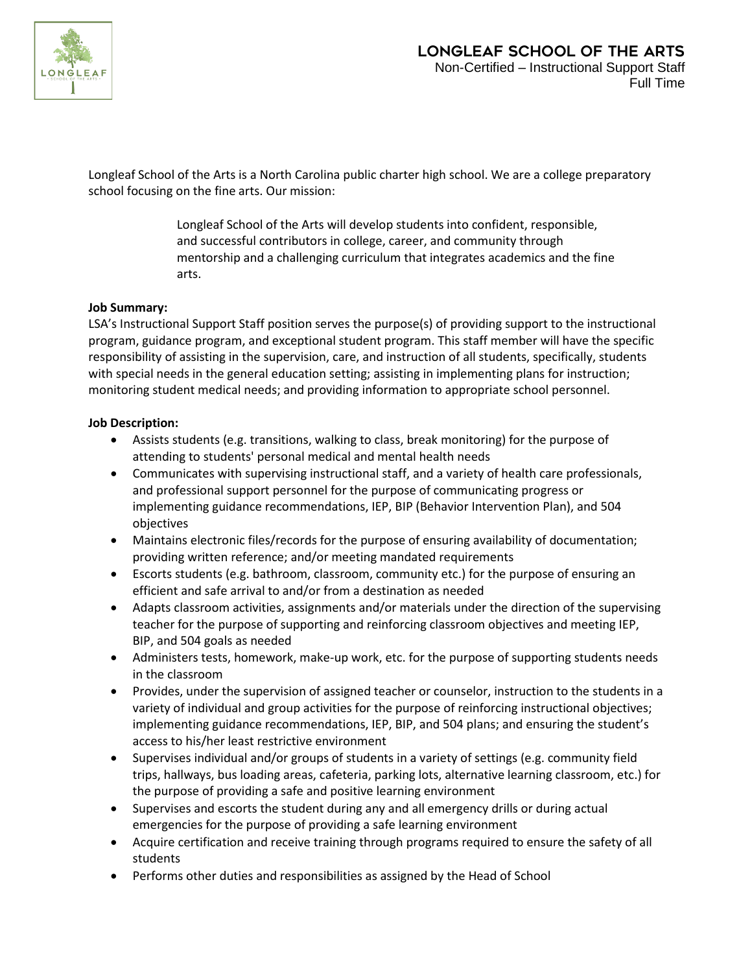

Longleaf School of the Arts is a North Carolina public charter high school. We are a college preparatory school focusing on the fine arts. Our mission:

> Longleaf School of the Arts will develop students into confident, responsible, and successful contributors in college, career, and community through mentorship and a challenging curriculum that integrates academics and the fine arts.

## **Job Summary:**

LSA's Instructional Support Staff position serves the purpose(s) of providing support to the instructional program, guidance program, and exceptional student program. This staff member will have the specific responsibility of assisting in the supervision, care, and instruction of all students, specifically, students with special needs in the general education setting; assisting in implementing plans for instruction; monitoring student medical needs; and providing information to appropriate school personnel.

## **Job Description:**

- Assists students (e.g. transitions, walking to class, break monitoring) for the purpose of attending to students' personal medical and mental health needs
- Communicates with supervising instructional staff, and a variety of health care professionals, and professional support personnel for the purpose of communicating progress or implementing guidance recommendations, IEP, BIP (Behavior Intervention Plan), and 504 objectives
- Maintains electronic files/records for the purpose of ensuring availability of documentation; providing written reference; and/or meeting mandated requirements
- Escorts students (e.g. bathroom, classroom, community etc.) for the purpose of ensuring an efficient and safe arrival to and/or from a destination as needed
- Adapts classroom activities, assignments and/or materials under the direction of the supervising teacher for the purpose of supporting and reinforcing classroom objectives and meeting IEP, BIP, and 504 goals as needed
- Administers tests, homework, make-up work, etc. for the purpose of supporting students needs in the classroom
- Provides, under the supervision of assigned teacher or counselor, instruction to the students in a variety of individual and group activities for the purpose of reinforcing instructional objectives; implementing guidance recommendations, IEP, BIP, and 504 plans; and ensuring the student's access to his/her least restrictive environment
- Supervises individual and/or groups of students in a variety of settings (e.g. community field trips, hallways, bus loading areas, cafeteria, parking lots, alternative learning classroom, etc.) for the purpose of providing a safe and positive learning environment
- Supervises and escorts the student during any and all emergency drills or during actual emergencies for the purpose of providing a safe learning environment
- Acquire certification and receive training through programs required to ensure the safety of all students
- Performs other duties and responsibilities as assigned by the Head of School